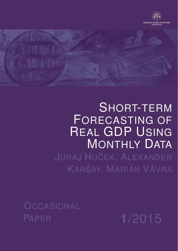

# SHORT-TERM FORECASTING OF REAL GDP USING MONTHLY DATA JURAJ HUČEK, ALEXANDER KARŠAY, MARIÁN VÁVRA

**OCCASIONAL** PAPER **1**/2015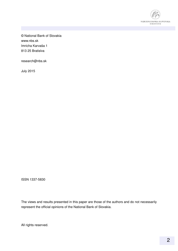

© National Bank of Slovakia www.nbs.sk Imricha Karvaša 1 813 25 Bratislva

research@nbs.sk

July 2015

ISSN 1337-5830

The views and results presented in this paper are those of the authors and do not necessarily represent the official opinions of the National Bank of Slovakia.

All rights reserved.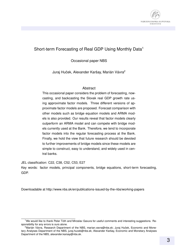

### Short-term Forecasting of Real GDP Using Monthly Data<sup>1</sup>

Occasional paper NBS

Juraj Huček, Alexander Karšay, Marián Vávra<sup>2</sup>

#### Abstract

This occasional paper considers the problem of forecasting, nowcasting, and backcasting the Slovak real GDP growth rate using approximate factor models. Three different versions of approximate factor models are proposed. Forecast comparison with other models such as bridge equation models and ARMA models is also provided. Our results reveal that factor models clearly outperform an ARMA model and can compete with bridge models currently used at the Bank. Therefore, we tend to incorporate factor models into the regular forecasting process at the Bank. Finally, we hold the view that future research should be devoted to further improvements of bridge models since these models are simple to construct, easy to understand, and widely used in central banks.

JEL classification: C22, C38, C52, C53, E27 Key words: factor models, principal components, bridge equations, short-term forecasting, GDP.

Downloadable at http://www.nbs.sk/en/publications-issued-by-the-nbs/working-papers

 $1$ We would like to thank Peter Tóth and Miroslav Gavura for useful comments and interesting suggestions. Responsibility for any errors is ours alone.

<sup>&</sup>lt;sup>2</sup> Marián Vávra, Research Department of the NBS, marian.vavra@nbs.sk; Juraj Huček, Economic and Monetary Analyses Department of the NBS, juraj.hucek@nbs.sk; Alexander Karšay, Economic and Monetary Analyses Department of the NBS, alexander.karsay@nbs.sk.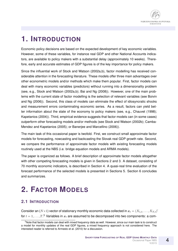### **1. INTRODUCTION**

Economic policy decisions are based on the expected development of key economic variables. However, some of these variables, for instance real GDP and other National Accounts indicators, are available to policy makers with a substantial delay (approximately 10 weeks). Therefore, early and accurate estimates of GDP figures is of the key importance for policy makers.

Since the influential work of Stock and Watson (2002a,b), factor modelling has received considerable attention in the forecasting literature. These models offer three main advantages over other econometric models and/or methods which make them popular. First, factor models can deal with many economic variables (predictors) without running into a dimensionality problem (see, e.g., Stock and Watson (2002a,b); Bai and Ng (2008)). However, one of the main problems with the current state of factor modelling is the selection of relevant variables (see Boivin and Ng (2006)). Second, this class of models can eliminate the effect of idiosyncratic shocks and measurement errors contaminating economic series. As a result, factors can yield better information about the state of the economy to policy makers (see, e.g., Chauvet (1998); Kapetanios (2004)). Third, empirical evidence suggests that factor models can (in some cases) outperform other forecasting models and/or methods (see Stock and Watson (2002b); Camba-Mendez and Kapetanios (2005); or Banerjee and Marcellino (2006)).

The main task of this occasional paper is twofold. First, we construct small approximate factor models for forecasting, nowcasting and backcasting the Slovak real GDP growth rate. Second, we compare the performance of approximate factor models with existing forecasting models routinely used at the NBS (i.e. bridge equation models and ARMA models).

The paper is organized as follows. A brief description of approximate factor models altogether with other competing forecasting models is given in Sections 2 and 3. A dataset, consisting of 70 monthly economic indicators, is described in Section 4. A quasi-real time evaluation of the forecast performance of the selected models is presented in Sections 5. Section 6 concludes and summarizes.

## **2. FACTOR MODELS**

### **2.1 INTRODUCTION**

Consider an  $(N\times1)$  vector of stationary monthly economic data collected in  $x_t = (X_{1,t}, \ldots, X_{N,t})'$ for  $t=1,\ldots,T.^3$  Variables in  $\boldsymbol{x}_t$  are assumed to be decomposed into two components: a com-

<sup>&</sup>lt;sup>3</sup>Note that factor models can deal with mixed frequency data as well. However, since our main task is to construct a model for monthly updates of the real GDP figures, a mixed frequency approach is not considered here. The interested reader is referred to Armesto et al. (2010) for a discussion.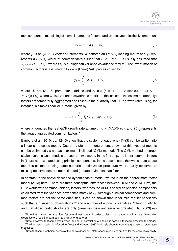mon component (consisting of a small number of factors) and an idiosyncratic shock component

$$
x_t = \mu + \Lambda f_t + u_t, \qquad (1)
$$

where  $\bm{\mu}$  is an  $(N\times1)$  vector of intercepts,  $\bm{\Lambda}$  denotes an  $(N\times k)$  loading matrix and  $\bm{f}_t$  represents a  $(k \times 1)$  vector of common factors such that  $k \ll N$ .<sup>4</sup> It is usually assumed that  $u_t \sim NID(0, \Omega_u)$ , where  $\Omega_u$  is a (diagonal) variance-covariance matrix.<sup>5</sup> The law of motion of common factors is assumed to follow a (linear) VAR process given by

$$
\boldsymbol{f}_t = \sum_{i=1}^p \boldsymbol{A}_i \boldsymbol{f}_{t-i} + \boldsymbol{\epsilon}_t, \tag{2}
$$

where  $A_i$  are  $(k\times k)$  parameter matrices and  $\epsilon_t$  is a  $(k\times 1)$  error vector such that  $\epsilon_t$   $\sim$  $NID(0, \Omega_{\epsilon})$ , where  $\Omega_{\epsilon}$  is a variance-covariance matrix. In the last step, the estimated (monthly) factors are temporarily aggregated and linked to the quarterly real GDP growth rates using, for instance, a simple linear ARX model given by

$$
y_{\tau} = c + \sum_{j=0}^{q} \beta'_j \mathbf{f}_{\tau-j}^* + \phi y_{\tau-1} + \eta_{\tau}, \tag{3}
$$

where  $y_\tau$  denotes the real GDP growth rate at time  $\tau, \, \eta_t \sim NID(0,\sigma_\eta^2),$  and  $\bm{f}^*_{\tau-j}$  represents the lagged aggregated common factors.<sup>6</sup>

Banbura et al. (2010, pp. 12-15) show that the system of equations (1)–(3) can be written into a linear state-space model. Doz et al. (2011), among others, show that this types of models can be estimated via a quasi maximum likelihood (QML) method.<sup>7</sup> The QML method of (largescale) dynamic factor models proceeds in two-steps. In the first step, the latent common factors in (1) are approximated using principal components. In the second step, the whole state-space model is estimated using some numerical optimization procedure where partly observed or missing observations are approximated (updated) via a kalman filter.

In contrast to the above described dynamic factor model, we focus on the approximate factor model (AFM) here. There are three conceptual differences between DFM and AFM. First, the DFM works with common (hidden) factors, whereas the AFM is based on principal components calculated from the variance-covariance matrix of  $x_t$ . Although principal components and common factors are not the same quantities, it can be shown that under mild regular conditions such that a number of observations  $T$  and a number of economic variables  $N$  tend to infinity and that idiosyncratic shocks are only (weakly) cross- and serially-correlated, Bai (2003) es-

<sup>&</sup>lt;sup>4</sup>Note that  $\Lambda$  allows for a partition (structural restrictions) in order to distinguish among nominal, real, financial or global factors (see Banbura et al. (2010) among others).

<sup>&</sup>lt;sup>5</sup>Note, however, that some weak cross- and serial-correlation of shocks is possible to incorporate into the model.  $6$ The interested reader is referred to Drost and Nijman (1993) for details about temporal aggregation of stochastic processes.

 $<sup>7</sup>$ Note that some technical details of the above described state-space model are omitted for the sake of simplicity.</sup>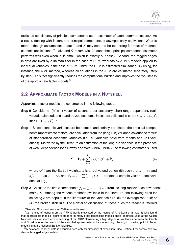tablished consistency of principal components as an estimator of latent common factors. $8$  As a result, dealing with factors and principal components is asymptotically equivalent. What is more, although assumptions about  $T$  and  $N$  may seem to be too strong for most of macroeconomic applications, Tanaka and Kurozumi (2012) found that a principal component estimator performs well even when  $N$  is small (which is exactly our case). Second, the ragged edges in data are fixed by a kalman filter in the case of DFM, whereas by ARMA models applied to individual variables in the case of AFM. Third, the DFM is estimated simultaneously using, for instance, the QML method, whereas all equations in the AFM are estimated separately (step by step). This fact significantly reduces the computational burden and improves the robustness of the approximate factor models.<sup>9</sup>

#### **2.2 APPROXIMATE FACTOR MODELS IN A NUTSHELL**

Approximate factor models are constructed in the following steps:

- **Step 0** Consider an  $(N \times 1)$  vector of second-order stationary, short-range dependent, realvalued, balanced, and standardized economic indicators collected in  $\bm{z}_t = (z_{1,t}, \dots, z_{N,t})',$ for  $t\in\{1,\ldots,T\}.$ <sup>10</sup>
- **Step 1** Since economic variables are both cross- and serially-correlated, the principal components (approximate factors) are calculated from the (long-run) variance-covariance matrix of standardized economic variables (i.e. all variables have zero means and unit variances). Motivated by the literature on estimation of the long-run variance in the presence of weak dependence (see Newey and West (1987, 1994)), the following estimator is used

$$
\hat{\Sigma} = \hat{\Gamma}_0 + \sum_{j=1}^h w(j/h)(\hat{\Gamma}_j + \hat{\Gamma}'_j),
$$
\n(4)

where  $w(\cdot)$  are the Bartlett weights, h is a real-valued bandwidth such that  $h \to \infty$  and  $h/T \rightarrow 0$  as  $T \rightarrow \infty$ , and  $\hat{\mathbf{\Gamma}}_j = T^{-1} \sum_{t=j+1}^T \boldsymbol{z}_t \boldsymbol{z}_t'$  $t_{t-j}^{'}$  denotes a sample vector autocovariance at lag j.

 $\textbf{Step 2} \text{ Calculate the first } k \text{ components } \hat{\bm{f}}_t = (\hat{f}_{1,t}, \dots, \hat{f}_{k,t})'$  from the long-run variance-covariance matrix  $\hat{\Sigma}$ . Among the various methods available in the literature, the following rules for selecting k are popular in the literature: (i) the variance rule; (ii) the average-root rule; or (iii) the broken-stick rule. For a detailed discussion of these rules the reader is referred

<sup>&</sup>lt;sup>8</sup>See also Stock and Watson (2002a) for a discussion.

 $9$ Our choice of focusing on the AFM is partly motivated by the results of Arnoštová et al. (2011) who found that approximate models (slightly) outperform many other forecasting models and/or methods used at the Czech National Bank for short-term forecasting of real GDP. Considering a high degree of similarities between the Czech and Slovak economies, we hold the view that approximate factor models might be a good starting point in factor modelling at the National Bank of Slovakia.

<sup>&</sup>lt;sup>10</sup>A balanced panel of data is assumed here only for simplicity of exposition. See Section 4 for details how we deal with ragged edges in data.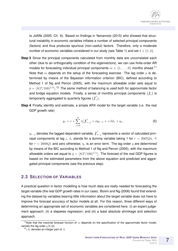to Jolliffe (2005, Ch. 6). Based on findings in Yamamoto (2015) who showed that structural instability in economic variables inflates a number of selected principal components (factors) and thus produces spurious (non-useful) factors. Therefore, only a moderate number of economic variables considered in our study (see Table 1) and set  $k \in \{1, 2\}$ .

- **Step 3** Since the principal components calculated from monthly data are uncorrelated each other (due to an orthogonality condition of the eigenvectors), we can use finite-order AR models for forecasting individual principal components  $m \in \{1, \ldots, 9\}$  months ahead.<sup>11</sup> Note that m depends on the setup of the forecasting exercise. The lag order  $p$  is determined by means of the Bayesian information criterion (BIC), defined according to Method 1 of Ng and Perron (2005), with the maximum allowable order sets equal to  $\bar{p} = |8(T / 100)^{1/4}|$ .<sup>12</sup> The same method of balancing is used both for approximate factor and bridge equation models. Finally, a series of monthly principal components  $\{\hat{\bm{f}}_t\}$  is temporarily aggregated to quarterly figures  $\{\hat{\pmb{f}}_{\tau}^*\}.$
- **Step 4** Finally, identify and estimate, a simple ARX model for the target variable (i.e. the real GDP growth rate)

$$
y_{\tau} = c + \sum_{j=0}^{q} \gamma_j' \hat{\boldsymbol{f}}_{\tau-j}^* + \phi y_{\tau-1} + \beta d_{\tau} + \eta_{\tau}, \tag{5}
$$

 $y_{\tau-j}$  denotes the lagged dependent variable,  $\hat{\boldsymbol{f}}_\tau^*$  $\tilde{\tau}_{\tau-j}$  represents a vector of calculated principal components at lag j,  $d_{\tau}$  stands for a dummy variable taking 1 for  $\tau = 2007Q4$ , -1 for  $\tau = 2008Q1$  and zero otherwise,  $\eta_{\tau}$  is an error term. The lag order q are determined by means of the BIC according to Method 1 of Ng and Perron (2005), with the maximum allowable orders set equal to  $\bar{q} = |8(T / 100)^{1/4}|$ . The forecast of the real GDP figures is based on the estimated parameters from the above equation and predicted and aggregated principal components (see the previous step).

#### **2.3 SELECTION OF VARIABLES**

A practical question in factor modelling is how much data are really needed for forecasting the target variable (the real GDP growth rates in our case). Boivin and Ng (2006) found that extending the dataset by variables bearing little information about the target variable does not have to improve the forecast accuracy of factor models at all. For this reason, three different ways of determining an appropriate set of economic variables are considered here: (i) an expert judgement approach; (ii) a stepwise regression; and (iii) a least absolute shrinkage and selection approach.

<sup>&</sup>lt;sup>11</sup>Note that the maximal forecast horizon of  $m$  depends on the specification of the approximate factor model, namely the lag order  $q$  in (2).

 $12|A|$  denotes an integer part of A.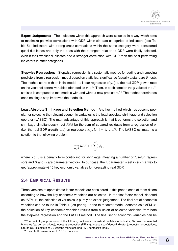

**Expert Judgement:** The indicators within this approach were selected in a way which aims to maximize pairwise correlations with GDP within six data categories of indicators (see Table 5). Indicators with strong cross-correlations within the same category were considered quasi-duplicates and only the ones with the strongest relation to GDP were finally selected, even if their weaker duplicates had a stronger correlation with GDP than the best performing indicators in other categories.

**Stepwise Regression:** Stepwise regression is a systematic method for adding and removing predictors from a regression model based on statistical significance (usually a standard  $F$ -test). The method starts with an initial model – a linear regression of  $y_t$  (i.e. the real GDP growth rate) on the vector of control variables (denoted as  $w_t$ ).<sup>13</sup> Then, in each iteration the p-value of the Fstatistic is computed to test models with and without new predictors.<sup>14</sup> The method terminates once no single step improves the model fit.

**Least Absolute Shrinkage and Selection Method** Another method which has become popular for selecting the relevant economic variables is the least absolute shrinkage and selection operator (LASSO). The main advantage of this approach is that it performs the selection and shrinkage simultaneously. Let  $RSS$  be the sum of squared residuals from a regression of  $y_t$ (i.e. the real GDP growth rate) on regressors  $x_{i,t}$ , for  $i = 1, ..., N$ . The LASSO estimator is a solution to the following problem

$$
\min_{\alpha,\beta} RSS + \lambda \sum_{j=1}^{M} |\beta_j|,
$$

where  $\lambda > 0$  is a penalty term controlling for shrinkage, meaning a number of "useful" regressors and  $\beta$  and  $\alpha$  are parameter vectors. In our case, the  $\lambda$  parameter is set in such a way to get (approximately) 10 key economic variables for forecasting real GDP.

#### **2.4 EMPIRICAL RESULTS**

Three versions of approximate factor models are considered in this paper, each of them differs according to how the key economic variables are selected. In the first factor model, denoted as "AFM 1", the selection of variables is purely on expert judgement. The final set of economic variables can be found in Table 1 (left-panel). In the third factor model, denoted as " AFM 3", the selection of key economic variables results from a union of selected variables from both the stepwise regression and the LASSO method. The final set of economic variables can be

<sup>&</sup>lt;sup>13</sup>The control group consists of the following indicators: Industrial confidence indicator, Turnover in selected branches (sa, current prices), Industrial production (DE, sa), Industry confidence indicator (production expectations, sa), Ifo DE (expectations), Eurozone manufacturing PMI, composite index.

<sup>&</sup>lt;sup>14</sup>The cut-off p-value is set to 0.10 in our case.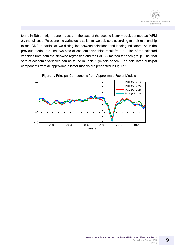

found in Table 1 (right-panel). Lastly, in the case of the second factor model, denoted as "AFM 2", the full set of 70 economic variables is split into two sub-sets according to their relationship to real GDP. In particular, we distinguish between coincident and leading indicators. As in the previous model, the final two sets of economic variables result from a union of the selected variables from both the stepwise regression and the LASSO method for each group. The final sets of economic variables can be found in Table 1 (middle-panel). The calculated principal components from all approximate factor models are presented in Figure 1.



Figure 1: Principal Components from Approximate Factor Models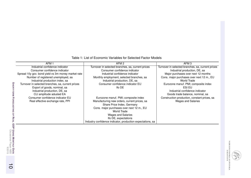| AFM <sub>1</sub>                                   | AFM <sub>2</sub>                                           | AFM <sub>3</sub>                                  |
|----------------------------------------------------|------------------------------------------------------------|---------------------------------------------------|
| Industrial confidence indicator                    | Turnover in selected branches, sa, current prices          | Turnover in selected branches, sa, current prices |
| Consumer confidence indicator                      | Consumer confidence indicator                              | Industrial production, DE, sa                     |
| Spread 10y gov. bond yield vs 3m money market rate | Industrial confidence indicator                            | Major purchases over next 12 months               |
| Number of registered unemployed, sa                | Monthly employment, selected branches, sa                  | Cons. major purchases over next 12 m., EU         |
| Industrial production index, sa                    | Industrial production, DE, sa                              | World Trade                                       |
| Turnover in selected branches, sa, current prices  | Consumer confidence indicator EU                           | Eurozone manuf. PMI; composite index              |
| Export of goods, nominal, sa                       | Ifo DE                                                     | ESI EU                                            |
| Industrial production, DE, sa                      |                                                            | Industrial confidence indicator                   |
| CLI amplitude adusted EA                           |                                                            | Goods trade balance, nominal, sa                  |
| Consumer confidence indicator EU                   | Eurozone manuf. PMI; composite index                       | Construction production, constant prices, sa      |
| Real effective exchange rate, PPI                  | Manufacturing new orders, current prices, sa               | <b>Wages and Salaries</b>                         |
|                                                    | Share Price Index, Germany                                 |                                                   |
|                                                    | Cons. major purchases over next 12 m., EU                  |                                                   |
|                                                    | World Trade                                                |                                                   |
|                                                    | <b>Wages and Salaries</b>                                  |                                                   |
|                                                    | Ifo DE, expectations                                       |                                                   |
|                                                    | Industry confidence indicator, production expectations, sa |                                                   |

Table 1: List of Economic Variables for Selected Factor Models

NÁRODNÁ BANKA SLOVENSKA<br>Burosystům

 $\overrightarrow{0}$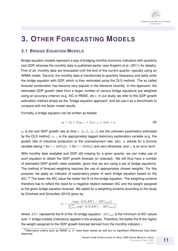

### **3. OTHER FORECASTING MODELS**

### **3.1 BRIDGE EQUATION MODELS**

Bridge equation models represent a way of bridging monthly economic indicators with quarterly real GDP, whereas the monthly data is published earlier (see Angelini et al. (2011) for details). First of all, monthly data are forecasted until the end of the current quarter, typically using an ARMA model. Second, the monthly data is transformed to quarterly frequency and lastly enter the bridge equation with GDP, which is then estimated using the OLS method. The so called forecast combination has become very popular in the literature recently. In this approach, the estimated GDP growth rates from a larger number of various bridge equations are weighted using an accuracy criterion (e.g. AIC or RMSE, etc.). In our study, we refer to this GDP growth estimation method simply as the "bridge equation approach" and we use it as a benchmark to compare with the factor model results.

Formally, a bridge equation can be written as follows

$$
y_t = \beta_0 + \beta_1 y_{t-1} + \beta_2 x_{t-L} + \beta_3 d_t + \epsilon_t,
$$
 (6)

 $y_t$  is the real GDP growth rate at time  $t,~\beta_0,\beta_1,\beta_2,\beta_3$  are the unknown parameters estimated by the OLS method,  $x_{t-L}$  is the appropriately lagged stationary explanatory variable (e.g. the growth rate of industrial production or the unemployment rate, etc),  $d_t$  stands for a dummy variable taking 1 for  $t=2007Q4$ , -1 for  $t=2008Q1$  and zero otherwise, and  $\epsilon_t$  is an error term.

With monthly data available and GDP still missing for a given quarter, we can make use of such equation to obtain the GDP growth forecast (or nowcast). We will thus have a number of estimated GDP growth rates available, given that we are using a set of bridge equations. The method of forecast weighting requires the use of appropriately chosen weights. For this purpose, we apply an indicator of explanatory power of each bridge equation based on the AIC.<sup>15</sup> The lower the AIC value the better the fit of the bridge equation. The weighting scheme therefore has to reflect the need for a negative relation between AIC and the weight assigned to the given bridge equation forecast. We opted for a weighting scheme according to the study by Drechsel and Scheufele (2010) given by

$$
w_i = \frac{\exp(-0.5(ALC_i - AIC_{min}))}{\sum_{i=1}^{N} \exp(-0.5(ALC_i - AIC_{min}))},
$$

where  $AIC_i$  represents the fit of the *i*th bridge equation,  $AIC_{min}$  is the minimum of AIC values over  $N$  bridge models (indicators) applied in the analysis. Therefore, the better the fit the higher the weight assigned to the GDP growth forecast derived from the monthly indicator  $i$ .

<sup>&</sup>lt;sup>15</sup>Alternative criteria such as RMSE or  $R^2$  have been tested as well but no significant differences have been observed.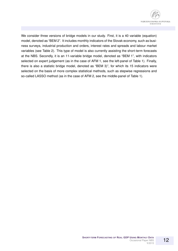

We consider three versions of bridge models in our study. First, it is a 40 variable (equation) model, denoted as "BEM 2". It includes monthly indicators of the Slovak economy, such as business surveys, industrial production and orders, interest rates and spreads and labour market variables (see Table 2). This type of model is also currently assisting the short-term forecasts at the NBS. Secondly, it is an 11-variable bridge model, denoted as "BEM 1", with indicators selected on expert judgement (as in the case of AFM 1, see the left-panel of Table 1). Finally, there is also a statistic bridge model, denoted as "BEM 3)", for which its 15 indicators were selected on the basis of more complex statistical methods, such as stepwise regressions and so-called LASSO method (as in the case of AFM 2, see the middle-panel of Table 1).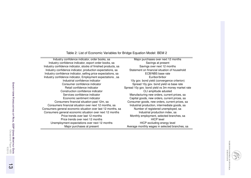Table 2: List of Economic Variables for Bridge Equation Model: BEM 2

Industry confidence indicator, order books, sa Major purchases over next 12 monthsIndustry confidence indicator, export order books, sa Savings at present Savings at present Industry confidence indicator, stocks of finished products, sa Industry confidence indicator, production expectations, sa Industry confidence indicator, selling price expectations, sa ECB/NBS base rate Industry confidence indicator, Employment expectations, sa **Euribor/bribor**  Industrial confidence indicator 10y gov. bond yield (convergence criterion)Consumer confidence indicator Spread 10y gov. bond yield vs base rate Retail confidence indicator Summan Spread 10y gov. bond yield vs 3m money market rate Construction confidence indicator CLI amplitude adustedServices confidence indicator **Manufacturing new orders, current prices**, sa Economic sentiment indicator Capital goods, new orders, current prices, saConsumers financial situation past 12m, sa Consumer goods, new orders, current prices, sa Consumers financial situation over next 12 months, sa **Industrial production, intermediate goods**, sa Consumers general economic situation over last 12 months, sa Number of registered unemployed, sa Consumers general economic situation over next 12 months Industrial production index, sa Price trends over last 12 months Monthly employment, selected branches, sa Price trends over next 12 months HICP level Unemployment expectations over next 12 months HICP excluding energy level Major purchases at present Average monthly wages in selected branches, sa

Savings over next 12 months Statement on financial situation of household

NNUOBYN Á BANKA SLOVENSKA<br>eurosystüm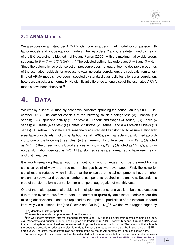#### **3.2 ARMA MODELS**

We also consider a finite-order  $ARMA(P,Q)$  model as a benchmark model for comparison with factor models and bridge equation models. The lag orders  $P$  and  $Q$  are determined by means of the BIC according to Method 1 of Ng and Perron (2005), with the maximum allowable orders set equal to  $\bar{P}=\bar{Q}=\lfloor 8 (T / 100)^{1/4} \rfloor$ .<sup>16</sup> The selected optimal lag orders are  $P=1$  and  $Q=0.^{17}$ Since the automatic lag order selection procedure does not guarantee the desirable properties of the estimated residuals for forecasting (e.g. no-serial correlation), the residuals from all estimated ARMA models have been inspected by standard diagnostic tests for serial correlation, heteroscedasticity and normality. No significant difference among a set of the estimated ARMA models have been observed.<sup>18</sup>

### **4. DATA**

We employ a set of 70 monthly economic indicators spanning the period January 2000 – December 2013. The dataset consists of the following six data categories: (A) Financial (12 series); (B) Output and activity (10 series); (C) Labour and Wages (4 series); (D) Prices (4 series); (E) Trade (4 series); (F) Domestic Surveys (23 series); and (G) Foreign Surveys (13 series). All relevant indicators are seasonally adjusted and transformed to assure stationarity (see Table 5 for details). Following Barhoumi et al. (2008), each variable is transformed according to one of the following three rules: (i) the three-months differences  $X_{i,t} - X_{i,t-3}$  (denoted as " $\Delta$ "); (ii) the three-months log-differences  $\log X_{i,t} - \log X_{i,t-3}$  (denoted as " $\Delta \log$ "); and (iii) no transformation (denoted as "-"). All transformed series are normalized to have zero means and unit variances.

It is worth remarking that although the month-on-month changes might be preferred from a statistical point of view, the three-month changes have two advantages. First, the noise-tosignal ratio is reduced which implies that the extracted principal components have a higher explanatory power and reduces a number of components required in the analysis. Second, this type of transformation is convenient for a temporal aggregation of monthly data.

One of the major operational problems in multiple time series analysis is unbalanced datasets due to non-synchronous flow of data. In contrast to (pure) dynamic factor models where the missing observations in data are replaced by the "optimal" predictions of the factor(s) updated iteratively via a kalman filter (see Cuevas and Quilis  $(2012)$ <sup>19</sup>, we deal with ragged edges by

 $16|A|$  denotes an integer part of A.

 $17$ The results are available upon request from the authors.

<sup>&</sup>lt;sup>18</sup>It is well known statistical fact that standard estimators of ARMA models suffer from a small sample bias (see, e.g., Yamamoto and Kunitomo (1984) and Engsted and Pedersen (2014)). However, Kim and Durmaz (2012) show that a bootstrap bias correction does not necessarily improve the forecast performance. The reason is that although the bootstrap procedure reduces the bias, it tends to increase the variance, and thus, the impact on the MSFE is ambiguous. Therefore, the bootstrap bias correction of the estimated AR parameters is not considered here.

<sup>&</sup>lt;sup>19</sup>An advantage of this approach is that the estimated factors incorporate both cross-sectional and time-series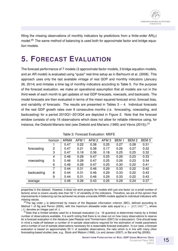filling the missing observations of monthly indicators by predictions from a finite-order  $AR(p)$ model.<sup>20</sup> The same method of balancing is used both for approximate factor and bridge equation models.

### **5. FORECAST EVALUATION**

The forecast performance of 7 models (3 approximate factor models, 3 bridge equation models, and an AR model) is evaluated using "quasi" real-time setup as in Barhoumi et al. (2008). This approach uses only the last available vintage of real GDP and monthly indicators (January 26, 2014) and imitates a time lag of monthly indicators according to Table 5. For the purpose of the forecast evaluation, we make an operational assumption that all models are run in the third week of each month to get updates of real GDP forecasts, nowcasts, and backcasts. The model forecasts are then evaluated in terms of the mean squared forecast error, forecast bias, and variability of forecasts. The results are presented in Tables  $3 - 4$ . Individual forecasts of the real GDP growth rates over 9 consecutive months (i.e. forecasting, nowcasting, and backcasting) for a period 2010Q1–2013Q4 are depicted in Figure 2. Note that the forecast window consists of only 16 observations which does not allow for reliable inference using, for instance, the Diebold-Mariano test (see Diebold and Mariano (1995) and Vávra (2015)).<sup>21</sup>

|             | horizon | <b>ARMA</b> | AFM 1 | AFM 2 | AFM <sub>3</sub> | BEM <sub>1</sub> | BEM <sub>2</sub> | BEM <sub>3</sub> |
|-------------|---------|-------------|-------|-------|------------------|------------------|------------------|------------------|
|             |         | 0.47        | 0.22  | 0.38  | 0.25             | 0.27             | 0.28             | 0.31             |
| forecasting | 2       | 0.47        | 0.21  | 0.38  | 0.17             | 0.26             | 0.27             | 0.32             |
|             | 3       | 0.47        | 0.18  | 0.36  | 0.18             | 0.25             | 0.25             | 0.32             |
|             | 4       | 0.46        | 0.28  | 0.47  | 0.25             | 0.26             | 0.23             | 0.33             |
| nowcasting  | 5       | 0.46        | 0.28  | 0.47  | 0.25             | 0.26             | 0.23             | 0.34             |
|             | 6       | 0.46        | 0.28  | 0.47  | 0.25             | 0.30             | 0.22             | 0.41             |
|             | 7       | 0.44        | 0.31  | 0.46  | 0.29             | 0.33             | 0.22             | 0.42             |
| backcasting | 8       | 0.44        | 0.31  | 0.46  | 0.29             | 0.33             | 0.22             | 0.43             |
|             | 9       | 0.44        | 0.31  | 0.46  | 0.29             | 0.33             | 0.22             | 0.43             |
| average     |         | 0.46        | 0.26  | 0.43  | 0.25             | 0.29             | 0.24             | 0.37             |

Table 3: Forecast Evaluation: MSFE

properties in the dataset. However, it does not work properly for models with just one factor (or a small number of factors) since is covers usually less than 50 % of variability of the indicators. Therefore, we are of the opinion that improvements in balancing can be achieved via simple univariate ARMA models applied to individual indicators with missing values.

<sup>20</sup>The lag order p is determined by means of the Bayesian information criterion (BIC), defined according to Method 1 of Ng and Perron (2005), with the maximum allowable order sets equal to  $\bar{p} = \lfloor 8(T/100)^{1/4} \rfloor$ , where  $|A|$  denotes an integer part of A.

<sup>21</sup> Note that a limited window used for a forecast evaluation (i.e. 16 quarters) is determined mainly by a limited number of observations available. It is worth noting that there is no clear-cut on how many observations to reserve for a forecast evaluation in the literature (see Pesaran and Timmermann (2007) for a discussion). One should keep in mind a trade-off between a number of in-sample observations required for the estimation of model parameters and a number of out-of-sample observations necessary for a reasonable forecast evaluation. In our case, a forecast evaluation is based on approximately 30 % of available observations, the ratio which is in line with many other forecasting-based studies (see, e.g., Stock and Watson (1996), Liu and Jansen (2007), or Bai and Ng (2008)).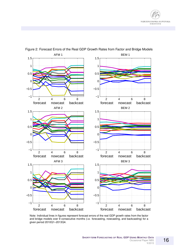

#### Figure 2: Forecast Errors of the Real GDP Growth Rates from Factor and Bridge Models

Note: Individual lines in figures represent forecast errors of the real GDP growth rates from the factor and bridge models over 9 consecutive months (i.e. forecasting, nowcasting, and backcasting) for a given period 2010Q1–2013Q4.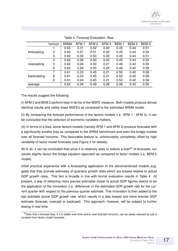|             | horizon | ARMA | AFM 1 | AFM 2 | AFM <sub>3</sub> | BEM 1 | BEM <sub>2</sub> | BEM <sub>3</sub> |
|-------------|---------|------|-------|-------|------------------|-------|------------------|------------------|
|             |         | 0.63 | 0.31  | 0.52  | 0.40             | 0.45  | 0.44             | 0.51             |
| forecasting | 2       | 0.63 | 0.27  | 0.51  | 0.32             | 0.45  | 0.44             | 0.52             |
|             | 3       | 0.63 | 0.30  | 0.50  | 0.30             | 0.45  | 0.44             | 0.51             |
| nowcasting  | 4       | 0.62 | 0.26  | 0.50  | 0.22             | 0.45  | 0.43             | 0.52             |
|             | 5       | 0.62 | 0.26  | 0.50  | 0.21             | 0.46  | 0.43             | 0.53             |
|             | 6       | 0.62 | 0.26  | 0.50  | 0.22             | 0.49  | 0.42             | 0.58             |
|             | 7       | 0.61 | 0.23  | 0.45  | 0.21             | 0.50  | 0.42             | 0.58             |
| backcasting | 8       | 0.61 | 0.24  | 0.45  | 0.21             | 0.52  | 0.42             | 0.58             |
|             | 9       | 0.61 | 0.24  | 0.45  | 0.21             | 0.52  | 0.42             | 0.58             |
| average     |         | 0.62 | 0.26  | 0.49  | 0.26             | 0.48  | 0.43             | 0.55             |

Table 4: Forecast Evaluation: Bias

The results suggest the following:

(i) AFM 3 and BEM 2 perform best in terms of the MSFE measure. Both models produce almost identical results and visibly lower MSFEs as compared to the estimated ARMA model.

(ii) By comparing the forecast performance of the factors models (i.e. AFM 1 - AFM 3), it can be concluded that the selection of economic variables matters.

(iii) In terms of a bias, some factors models (namely AFM 1 and AFM 3) produce forecasts with a significantly smaller bias as compared to the ARMA benchmark and even the bridge models over all forecast horizons. This favourable feature is, unfortunately, completely offset by high variability of factor model forecasts (see Figure 2 for details).

All in all, it can be concluded that since it is relatively easy to reduce a bias<sup>22</sup> of forecasts, our results slightly favour the bridge equation approach as compared to factor models (i.e. BEM 2 model).

Initial practical experience with a forecasting application of the aforementioned models suggests that they provide estimates of quarterly growth rates which are biased relative to actual GDP growth rates. This fact is broadly in line with formal evaluation results in Table 4. At present, a way of obtaining more precise estimates closer to actual GDP figures seems to be the application of the innovation (i.e. difference) in the estimated GDP growth rate for the current quarter with respect to the previous quarter estimate. This innovation is then added to the last available actual GDP growth rate, which results in a less biased and more precise GDP estimate (forecast, nowcast or backcast). This approach, however, will be subject to further testing in real time.

<sup>&</sup>lt;sup>22</sup>Note that a forecast bias, if it is stable over time and/or over forecast horizons, can be easily reduced by just a constant from factor model forecasts.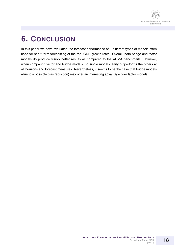

### **6. CONCLUSION**

In this paper we have evaluated the forecast performance of 3 different types of models often used for short-term forecasting of the real GDP growth rates. Overall, both bridge and factor models do produce visibly better results as compared to the ARMA benchmark. However, when comparing factor and bridge models, no single model clearly outperforms the others at all horizons and forecast measures. Nevertheless, it seems to be the case that bridge models (due to a possible bias reduction) may offer an interesting advantage over factor models.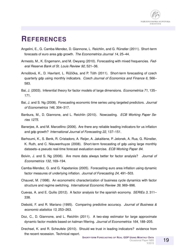### **REFERENCES**

- Angelini, E., G. Camba-Mendez, D. Giannone, L. Reichlin, and G. Rünstler (2011). Short-term forecasts of euro area gdp growth. *The Econometrics Journal 14*, 25–44.
- Armesto, M., K. Engemann, and M. Owyang (2010). Forecasting with mixed frequencies. *Federal Reserve Bank of St. Louis Review 92*, 521–36.
- Arnoštová, K., D. Havrlant, L. Rŭžička, and P. Tóth (2011). Short-term forecasting of czech quarterly gdp using monthly indicators. *Czech Journal of Economics and Finance 6*, 566– 583.
- Bai, J. (2003). Inferential theory for factor models of large dimensions. *Econometrica 71*, 135– 171.
- Bai, J. and S. Ng (2008). Forecasting economic time series using targeted predictors. *Journal of Econometrics 146*, 304–317.
- Banbura, M., D. Giannone, and L. Reichlin (2010). Nowcasting. *ECB Working Paper Series 1275*.
- Banerjee, A. and M. Marcellino (2006). Are there any reliable leading indicators for us inflation and gdp growth? *International Journal of Forecasting 22*, 137–151.
- Barhoumi, K., S. Benk, R. Cristadoro, A. Reijer, A. Jakaitiene, P. Jelonek, A. Rua, G. Rünstler, K. Ruth, and C. Nieuwenhuyze (2008). Short-term forecasting of gdp using large monthly datasets–a pseudo real-time forecast evaluation exercise. *ECB Working Paper 84*.
- Boivin, J. and S. Ng (2006). Are more data always better for factor analysis? *Journal of Econometrics 132*, 169–194.
- Camba-Mendez, G. and G. Kapetanios (2005). Forecasting euro area inflation using dynamic factor measures of underlying inflation. *Journal of Forecasting 24*, 491–503.
- Chauvet, M. (1998). An econometric characterization of business cycle dynamics with factor structure and regime switching. *International Economic Review 39*, 969–996.
- Cuevas, A. and E. Quilis (2012). A factor analysis for the spanish economy. *SERIEs 3*, 311– 338.
- Diebold, F. and R. Mariano (1995). Comparing predictive accuracy. *Journal of Business & economic statistics 13*, 253–263.
- Doz, C., D. Giannone, and L. Reichlin (2011). A two-step estimator for large approximate dynamic factor models based on kalman filtering. *Journal of Econometrics 164*, 188–205.
- Drechsel, K. and R. Scheufele (2010). Should we trust in leading indicators? evidence from the recent recession. Technical report.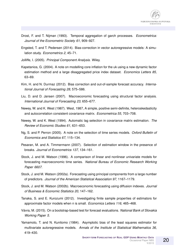

- Drost, F. and T. Nijman (1993). Temporal aggregation of garch processes. *Econometrica: Journal of the Econometric Society 61*, 909–927.
- Engsted, T. and T. Pedersen (2014). Bias-correction in vector autoregressive models: A simulation study. *Econometrics 2*, 45–71.
- Jolliffe, I. (2005). *Principal Component Analysis*. Wiley.
- Kapetanios, G. (2004). A note on modelling core inflation for the uk using a new dynamic factor estimation method and a large disaggregated price index dataset. *Economics Letters 85*, 63–69.
- Kim, H. and N. Durmaz (2012). Bias correction and out-of-sample forecast accuracy. *International Journal of Forecasting 28*, 575–586.
- Liu, D. and D. Jansen (2007). Macroeconomic forecasting using structural factor analysis. *International Journal of Forecasting 23*, 655–677.
- Newey, W. and K. West (1987). West, 1987, A simple, positive semi-definite, heteroskedasticity and autocorrelation consistent covariance matrix. *Econometrica 55*, 703–708.
- Newey, W. and K. West (1994). Automatic lag selection in covariance matrix estimation. *The Review of Economic Studies 61*, 631–653.
- Ng, S. and P. Perron (2005). A note on the selection of time series models. *Oxford Bulletin of Economics and Statistics 67*, 115–134.
- Pesaran, M. and A. Timmermann (2007). Selection of estimation window in the presence of breaks. *Journal of Econometrics 137*, 134–161.
- Stock, J. and M. Watson (1996). A comparison of linear and nonlinear univariate models for forecasting macroeconomic time series. *National Bureau of Economic Research Working Paper 6607*.
- Stock, J. and M. Watson (2002a). Forecasting using principal components from a large number of predictors. *Journal of the American Statistical Association 97*, 1167–1179.
- Stock, J. and M. Watson (2002b). Macroeconomic forecasting using diffusion indexes. *Journal of Business & Economic Statistics 20*, 147–162.
- Tanaka, S. and E. Kurozumi (2012). Investigating finite sample properties of estimators for approximate factor models when n is small. *Economics Letters 116*, 465–468.
- Vavra, M. (2015). On a bootstrap-based test for forecast evaluations. ´ *National Bank of Slovakia Working Paper 5*.
- Yamamoto, T. and N. Kunitomo (1984). Asymptotic bias of the least squares estimator for multivariate autoregressive models. *Annals of the Institute of Statistical Mathematics 36*, 419–430.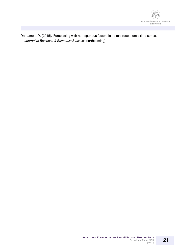

Yamamoto, Y. (2015). Forecasting with non-spurious factors in us macroeconomic time series. *Journal of Business & Economic Statistics* (forthcoming).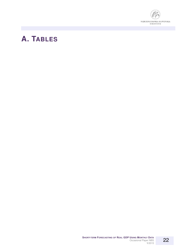

### **A. TABLES**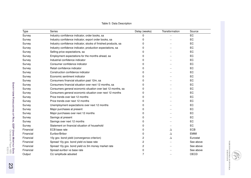| Type      | Series                                                         | Delay (weeks) | Transformation | Source      |
|-----------|----------------------------------------------------------------|---------------|----------------|-------------|
| Survey    | Industry confidence indicator, order books, sa                 | 0             |                | EC          |
| Survey    | Industry confidence indicator, export order books, sa          | 0             |                | EC          |
| Survey    | Industry confidence indicator, stocks of finished products, sa | 0             |                | EC          |
| Survey    | Industry confidence indicator, production expectations, sa     | 0             |                | EC          |
| Survey    | Selling price expectations, sa                                 | 0             |                | EC          |
| Survey    | Employment expectations for the months ahead, sa               | 0             |                | EC          |
| Survey    | Industrial confidence indicator                                | 0             |                | EC          |
| Survey    | Consumer confidence indicator                                  | 0             |                | EC          |
| Survey    | Retail confidence indicator                                    | 0             |                | EC          |
| Survey    | Construction confidence indicator                              | 0             |                | EC          |
| Survey    | Economic sentiment indicator                                   | 0             |                | EC          |
| Survey    | Consumers financial situation past 12m, sa                     | 0             |                | EC          |
| Survey    | Consumers financial situation over next 12 months, sa          | 0             |                | EC          |
| Survey    | Consumers general economic situation over last 12 months, sa   | 0             |                | EC          |
| Survey    | Consumers general economic situation over next 12 months       | 0             |                | EC          |
| Survey    | Price trends over last 12 months                               | 0             |                | EC          |
| Survey    | Price trends over next 12 months                               | 0             |                | EC          |
| Survey    | Unemployment expectations over next 12 months                  | 0             |                | EC          |
| Survey    | Major purchases at present                                     | 0             |                | EC          |
| Survey    | Major purchases over next 12 months                            | 0             |                | EC          |
| Survey    | Savings at present                                             | 0             |                | EC          |
| Survey    | Savings over next 12 months                                    | 0             |                | EC          |
| Survey    | Statement on financial situation of household                  | 0             |                | EC          |
| Financial | ECB base rate                                                  | 0             | Δ              | <b>ECB</b>  |
| Financial | Euribor/Bribor                                                 | 0             | Δ              | <b>EMMI</b> |
| Financial | 10y gov. bond yield (convergence criterion)                    | 2             | Δ              | Eurostat    |
| Financial | Spread 10y gov. bond yield vs base rate                        | 2             |                | See above   |
| Financial | Spread 10y gov. bond yield vs 3m money market rate             | 2             |                | See above   |
| Financial | Spread euribor vs base rate                                    | 0             |                | See above   |
| Output    | CLI amplitude adusted                                          | 7             |                | OECD        |
|           |                                                                |               |                |             |

#### Table 5: Data Description

NÁRODNÁ BANKA SLOVENSKA<br>Burosystům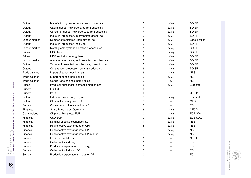| Output        | Manufacturing new orders, current prices, sa      | 7              | $\Delta \log$ | SO <sub>SR</sub> |
|---------------|---------------------------------------------------|----------------|---------------|------------------|
| Output        | Capital goods, new orders, current prices, sa     | 7              | $\Delta \log$ | SO <sub>SR</sub> |
| Output        | Consumer goods, new orders, current prices, sa    | 7              | $\Delta \log$ | SO <sub>SR</sub> |
| Output        | Industrial production, intermediate goods, sa     | 6              | $\Delta \log$ | SO <sub>SR</sub> |
| Labour market | Number of registered unemployed, sa               | 4              | $\Delta \log$ | Labour office    |
| Output        | Industrial production index, sa                   | 6              | $\Delta \log$ | SO <sub>SR</sub> |
| Labour market | Monthly employment, selected branches, sa         | 7              | $\Delta \log$ | SO <sub>SR</sub> |
| Prices        | <b>HICP level</b>                                 | 3              | $\Delta \log$ | SO <sub>SR</sub> |
| Prices        | HICP excluding energy level                       | 3              | $\Delta \log$ | SO <sub>SR</sub> |
| Labour market | Average monthly wages in selected branches, sa    | 7              | $\Delta \log$ | SO <sub>SR</sub> |
| Output        | Turnover in selected branches, sa, current prices | 7              | $\Delta \log$ | SO <sub>SR</sub> |
| Output        | Construction production, constant prices, sa      | 6              | $\Delta \log$ | SO <sub>SR</sub> |
| Trade balance | Import of goods, nominal, sa                      | 6              | $\Delta \log$ | <b>NBS</b>       |
| Trade balance | Export of goods, nominal, sa                      | 6              | $\Delta \log$ | <b>NBS</b>       |
| Trade balance | Goods trade balance, nominal, sa                  | 6              | Δ             | <b>NBS</b>       |
| Prices        | Producer price index, domestic market, nsa        | 5              | $\Delta \log$ | Eurostat         |
| Survey        | ESI EU                                            | 0              |               | EC               |
| Survey        | Ifo DE                                            | 0              |               | CESIfo           |
| Output        | Industrial production, DE, sa                     | 7              | $\Delta \log$ | Eurostat         |
| Output        | CLI amplitude adjusted, EA                        | $\overline{7}$ |               | OECD             |
| Survey        | Consumer confidence indicator EU                  | 0              |               | EC               |
| Financial     | Share Price Index, Germany                        | 3              | $\Delta \log$ | OECD             |
| Commodities   | Oil price, Brent, nsa, EUR                        | 0              | $\Delta \log$ | <b>ECB SDW</b>   |
| Financial     | USD/EUR                                           | 0              | $\Delta \log$ | <b>ECB SDW</b>   |
| Financial     | Nominal effective exchange rate                   | 1              | $\Delta \log$ | <b>NBS</b>       |
| Financial     | Real effective exchange rate, CPI                 | 5              | $\Delta \log$ | <b>NBS</b>       |
| Financial     | Real effective exchange rate, PPI                 | 5              | $\Delta \log$ | <b>NBS</b>       |
| Financial     | Real effective exchange rate, PPI manuf.          | 5              | $\Delta \log$ | <b>NBS</b>       |
| Survey        | Ifo DE, expectations                              | 0              |               | <b>CESIfo</b>    |
| Survey        | Order books, industry, EU                         | 0              |               | EC               |
| Survey        | Production expectations, industry, EU             | 0              |               | EC               |
| Survey        | Order books, industry, DE                         | 0              |               | EC               |
| Survey        | Production expectations, industry, DE             | 0              |               | EC               |
|               |                                                   |                |               |                  |

NÁRODNÁ BANKA SLOVENSKA<br>Burosystům

B